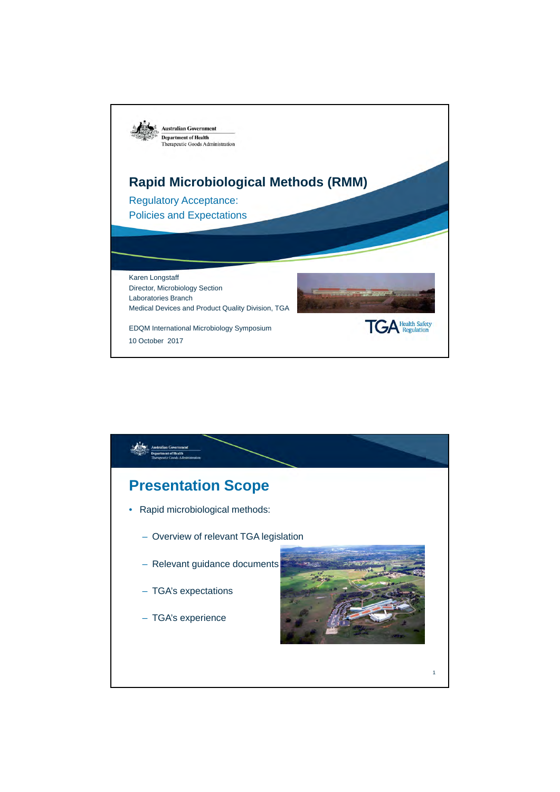

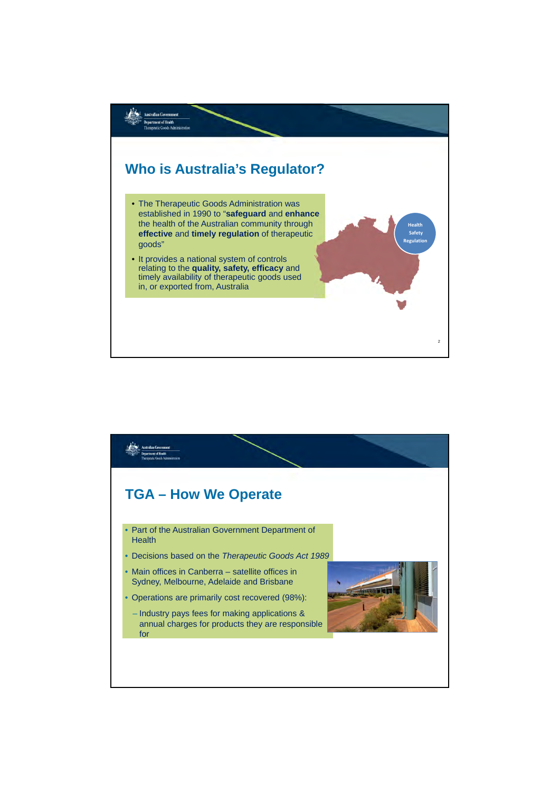

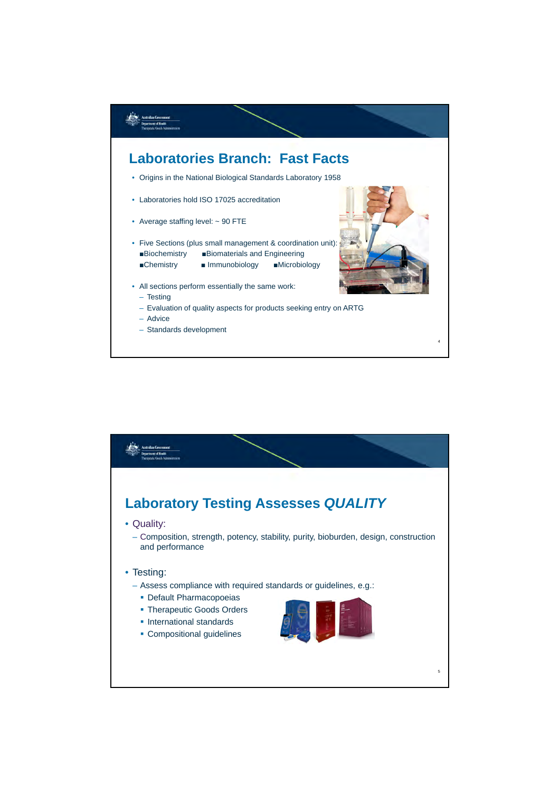

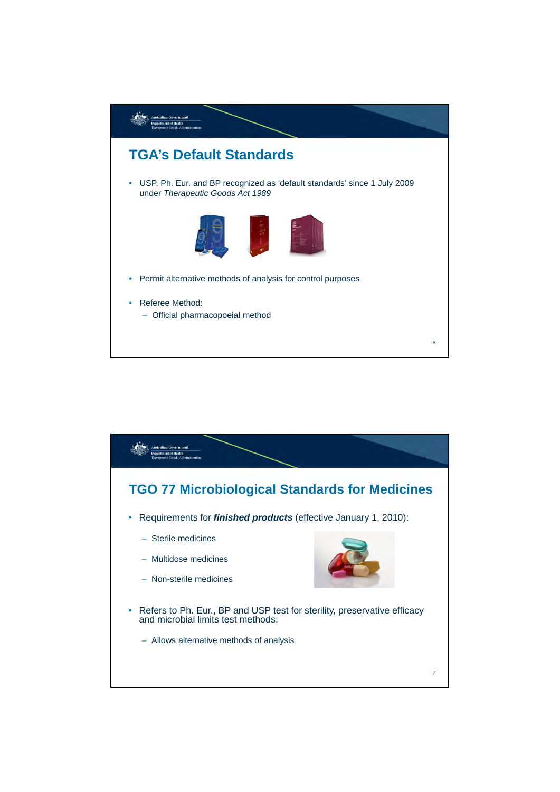

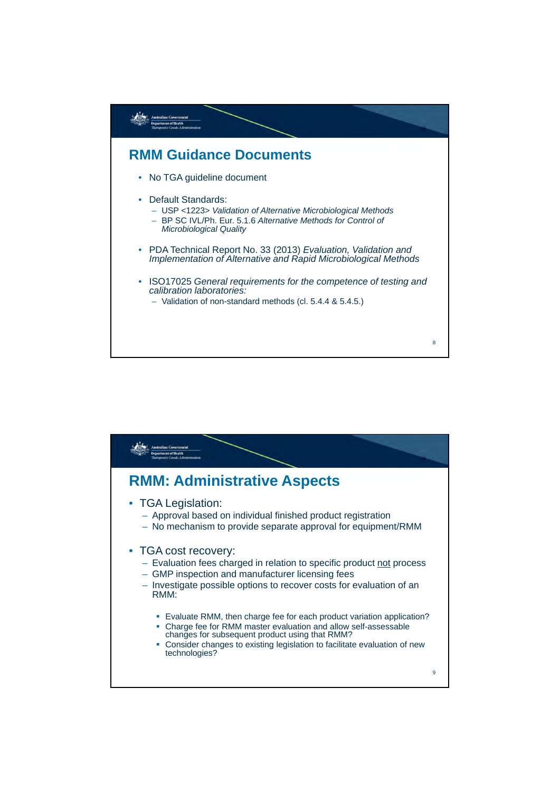

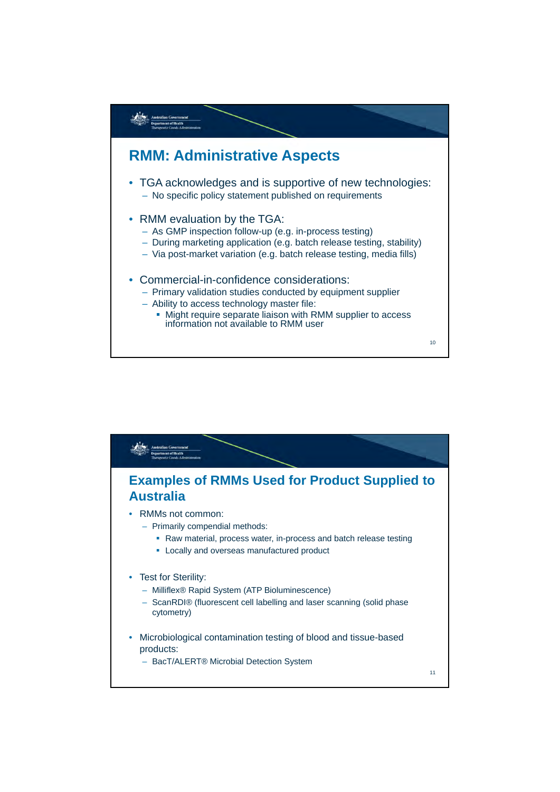

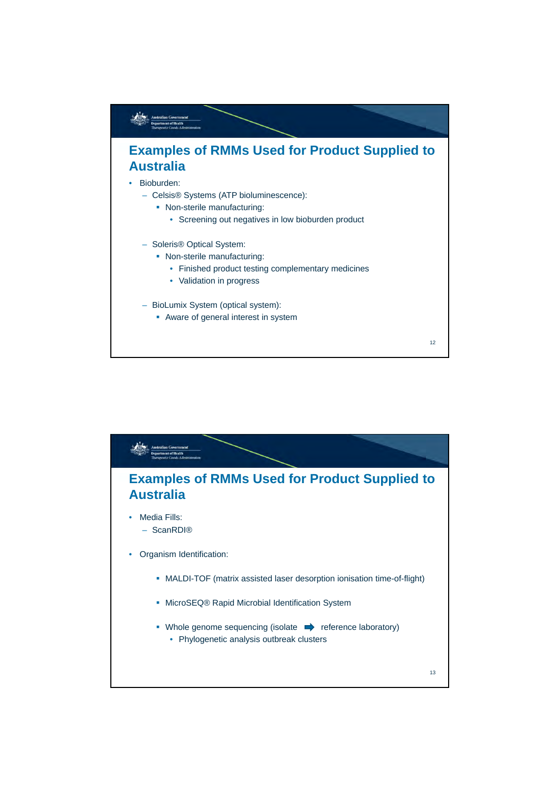

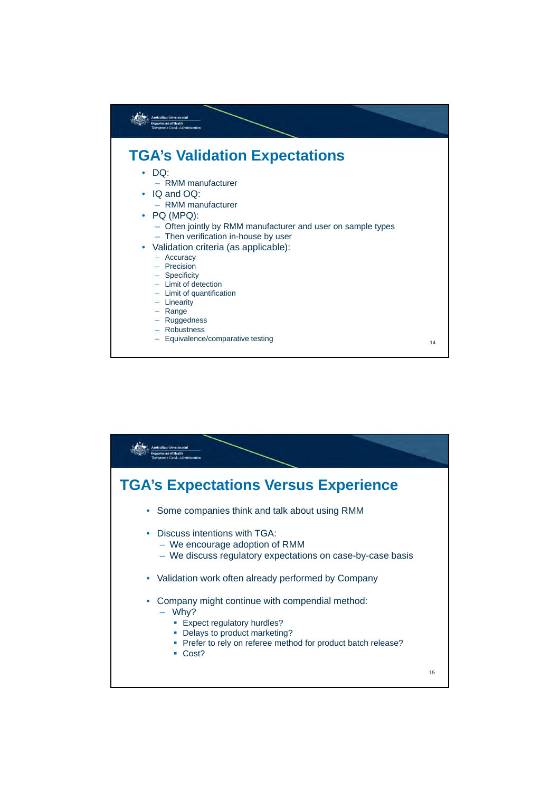

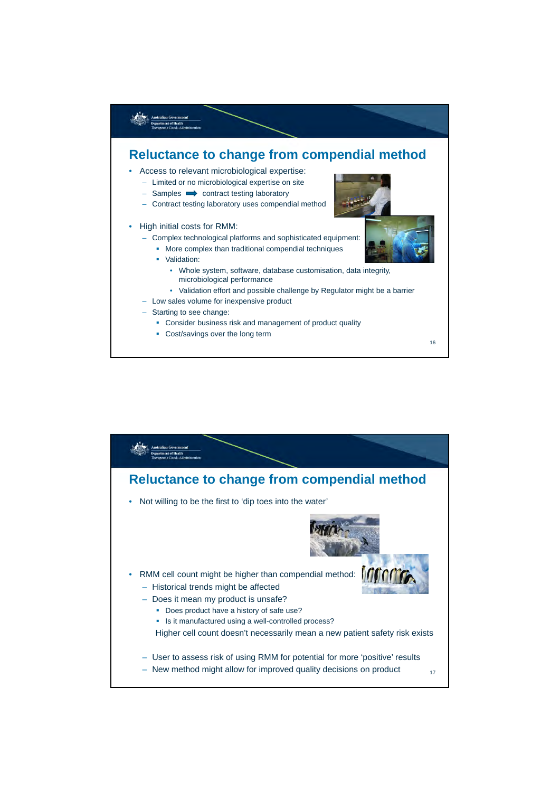

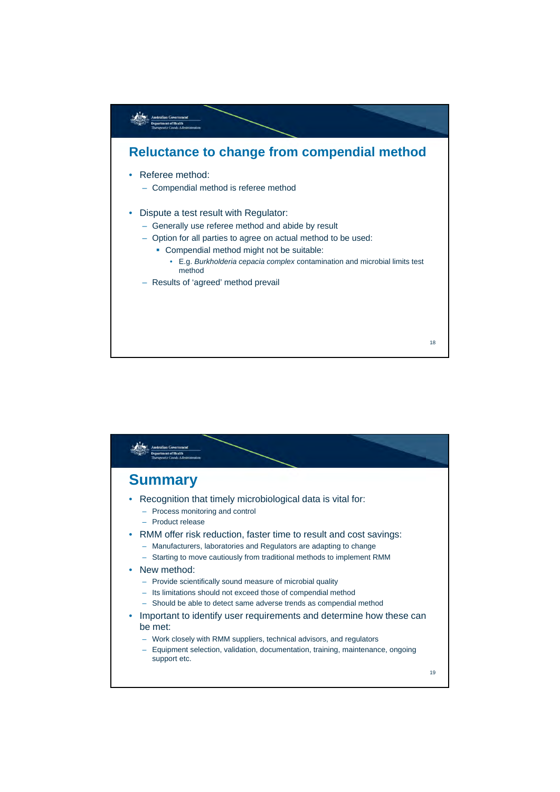

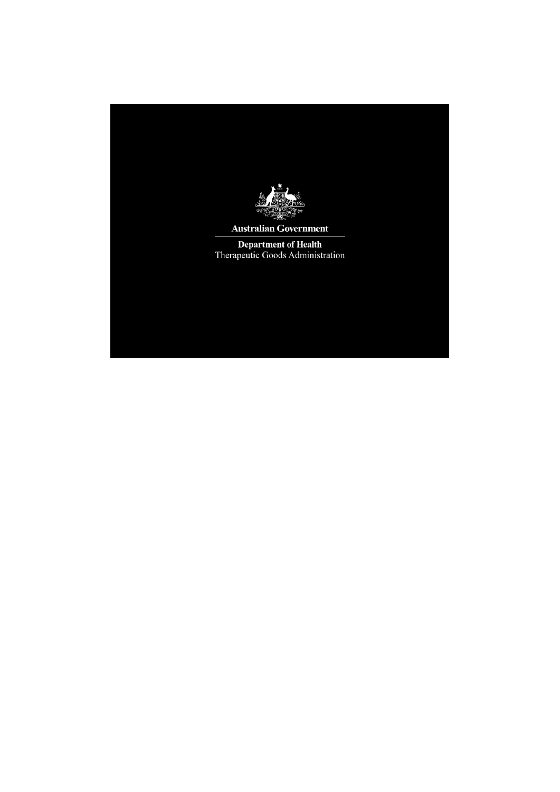

**Australian Government** 

Department of Health<br>Therapeutic Goods Administration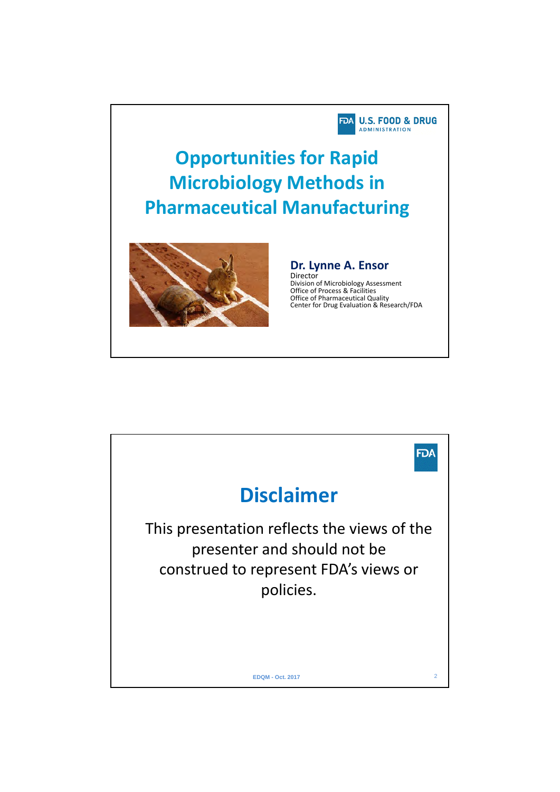

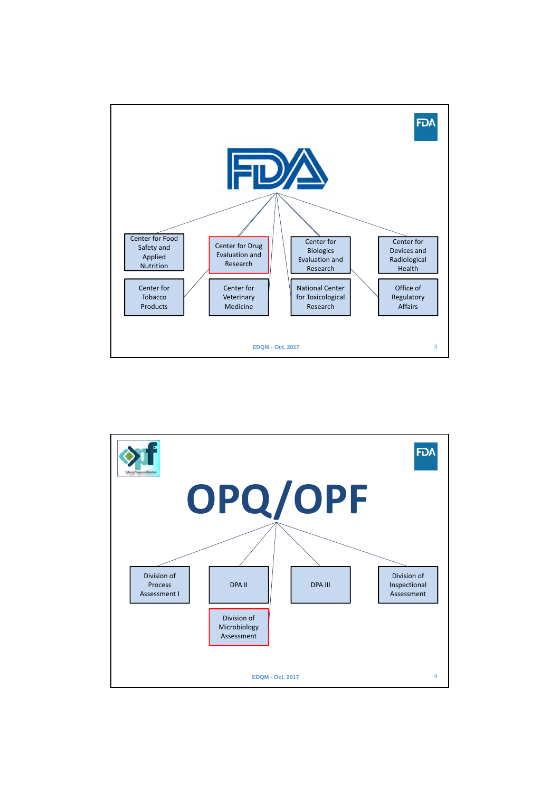

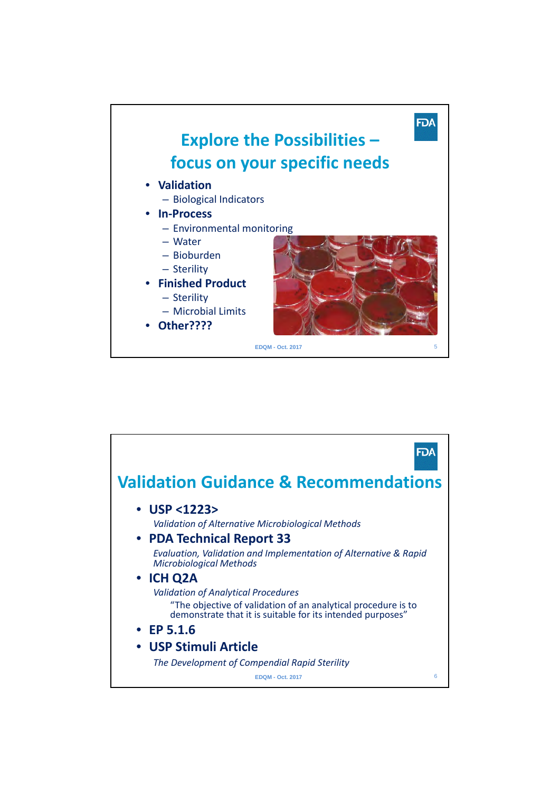

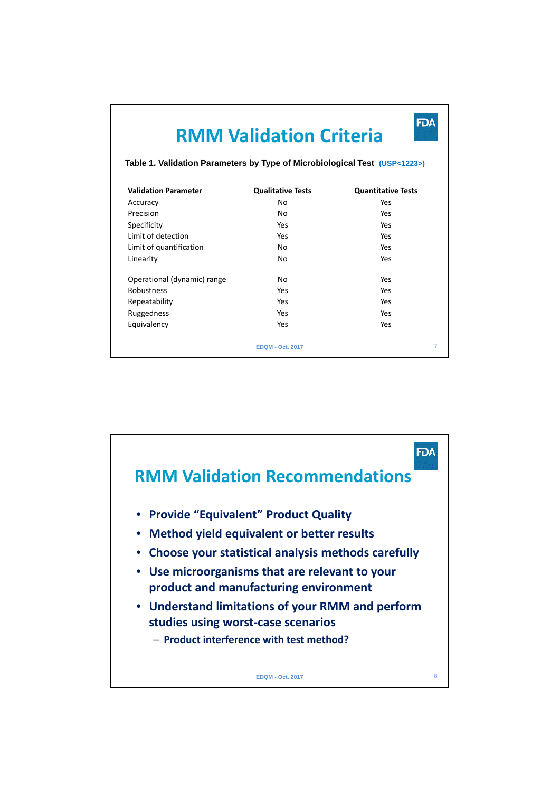|                             | Đ<br><b>RMM Validation Criteria</b><br>Table 1. Validation Parameters by Type of Microbiological Test (USP<1223>) |                           |  |  |  |
|-----------------------------|-------------------------------------------------------------------------------------------------------------------|---------------------------|--|--|--|
|                             |                                                                                                                   |                           |  |  |  |
| <b>Validation Parameter</b> | <b>Qualitative Tests</b>                                                                                          | <b>Quantitative Tests</b> |  |  |  |
| Accuracy                    | No                                                                                                                | Yes                       |  |  |  |
| Precision                   | No                                                                                                                | Yes                       |  |  |  |
| Specificity                 | Yes                                                                                                               | Yes                       |  |  |  |
| Limit of detection          | Yes                                                                                                               | Yes                       |  |  |  |
| Limit of quantification     | No                                                                                                                | Yes                       |  |  |  |
| Linearity                   | No                                                                                                                | Yes                       |  |  |  |
| Operational (dynamic) range | No                                                                                                                | Yes                       |  |  |  |
| Robustness                  | Yes                                                                                                               | Yes                       |  |  |  |
| Repeatability               | Yes                                                                                                               | Yes                       |  |  |  |
| Ruggedness                  | Yes                                                                                                               | Yes                       |  |  |  |
| Equivalency                 | Yes                                                                                                               | Yes                       |  |  |  |
|                             | <b>EDOM - Oct. 2017</b>                                                                                           | 7                         |  |  |  |

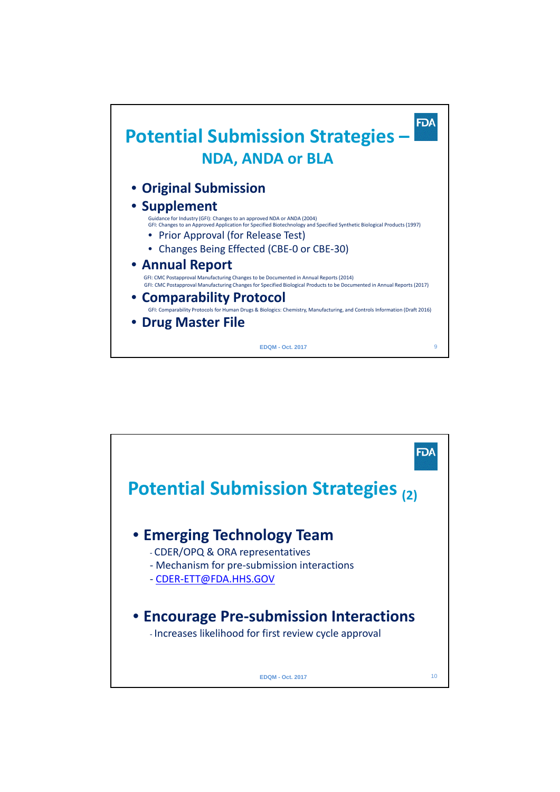

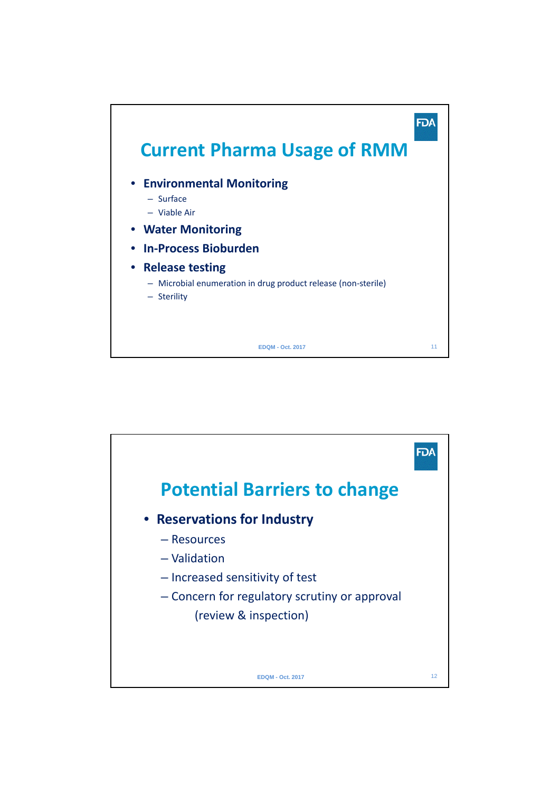

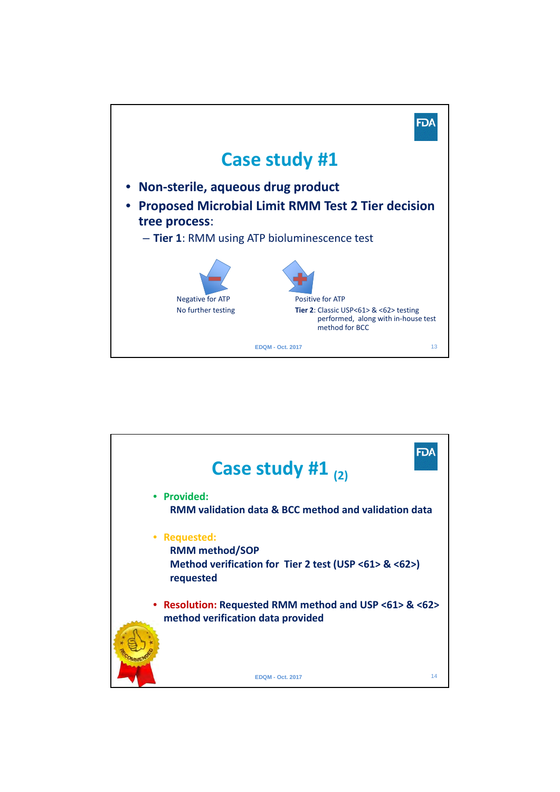

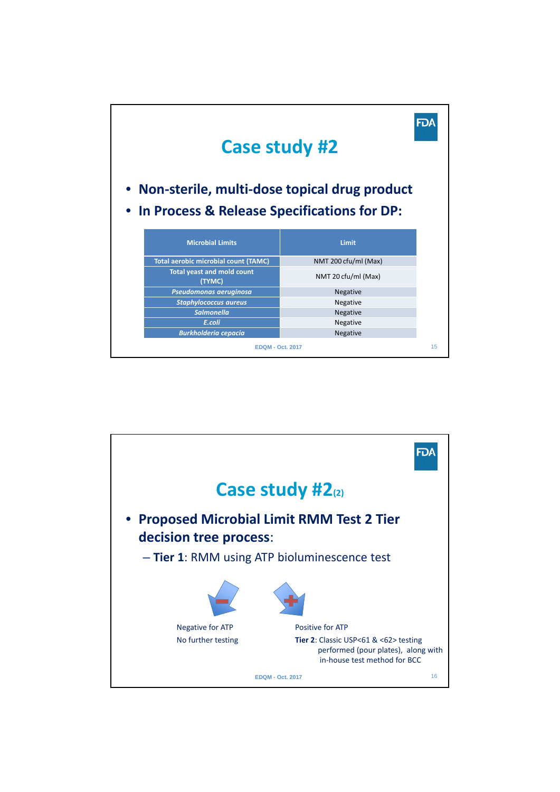

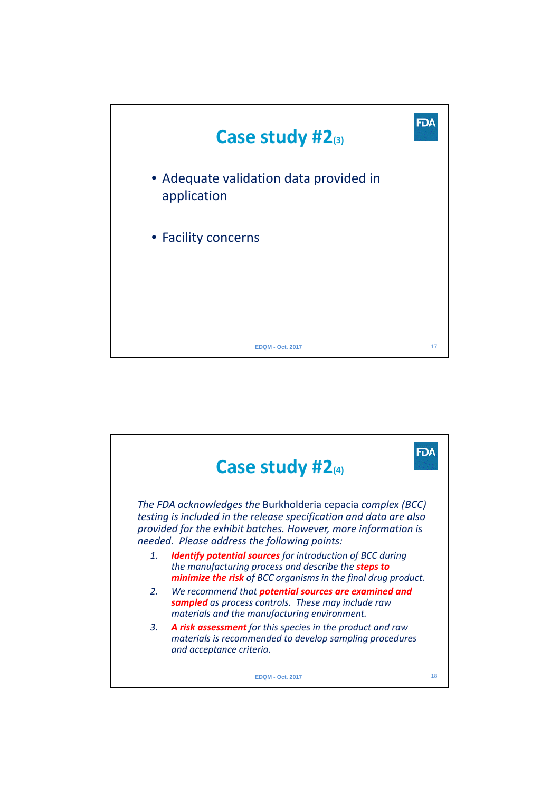

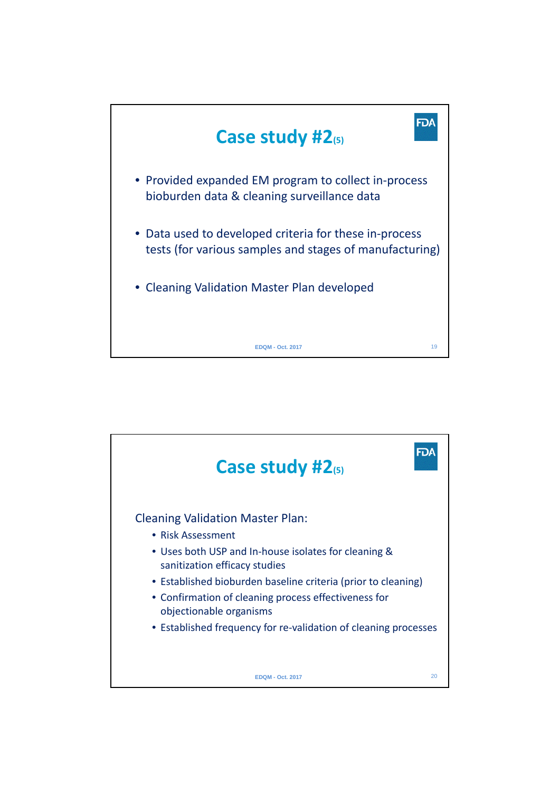

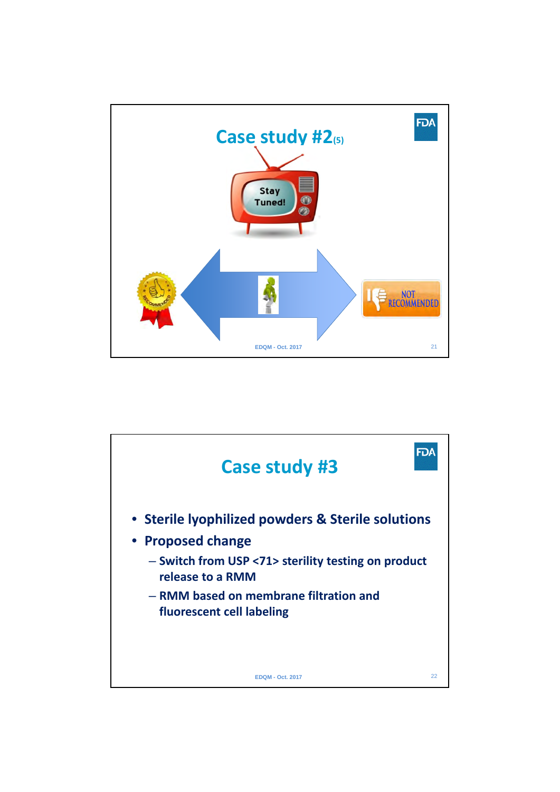

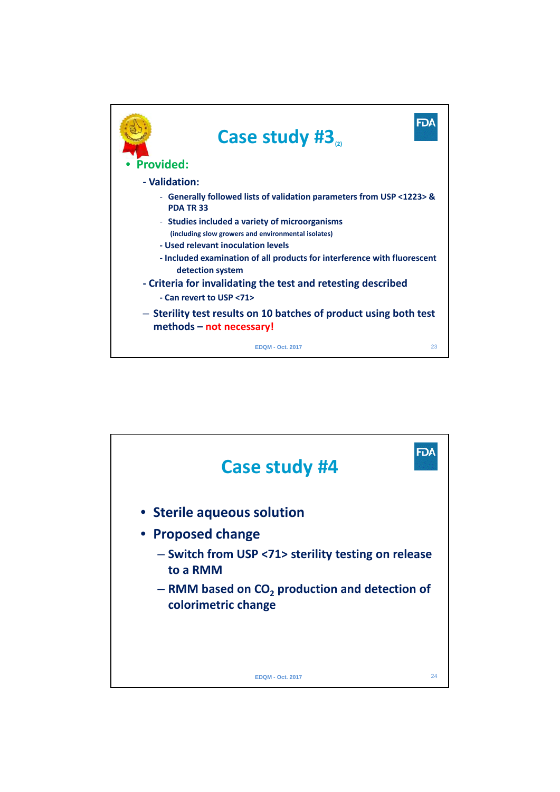

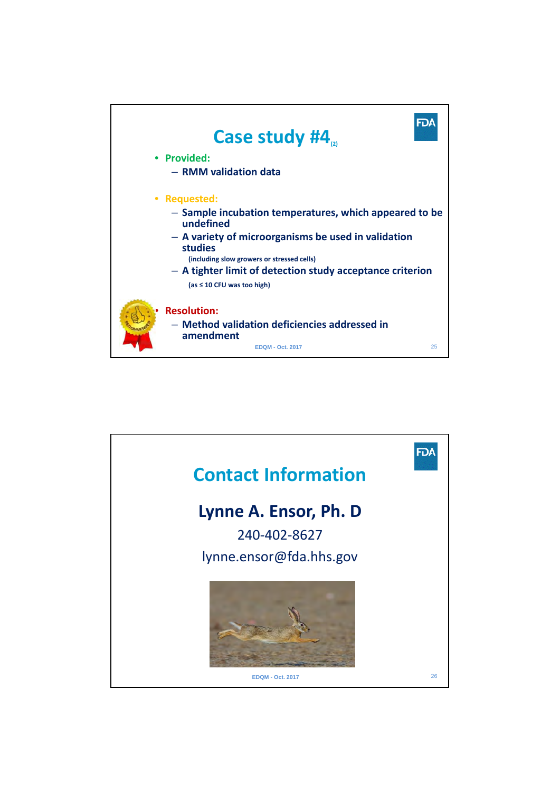

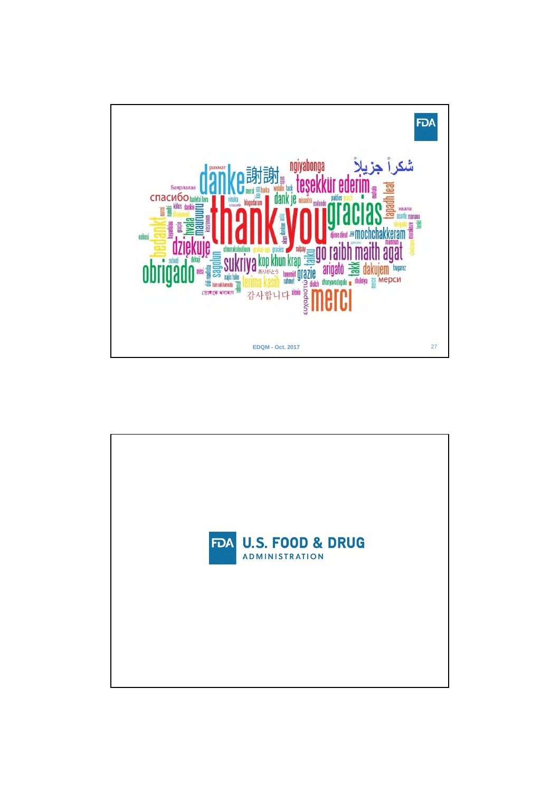

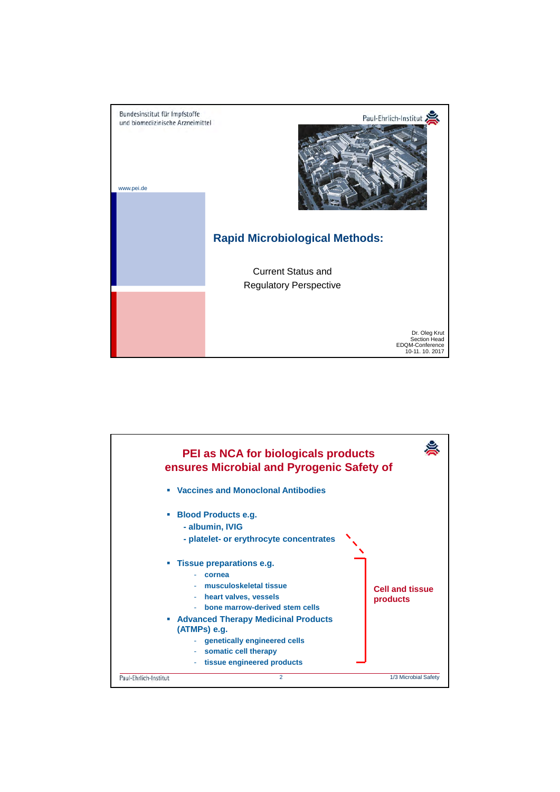

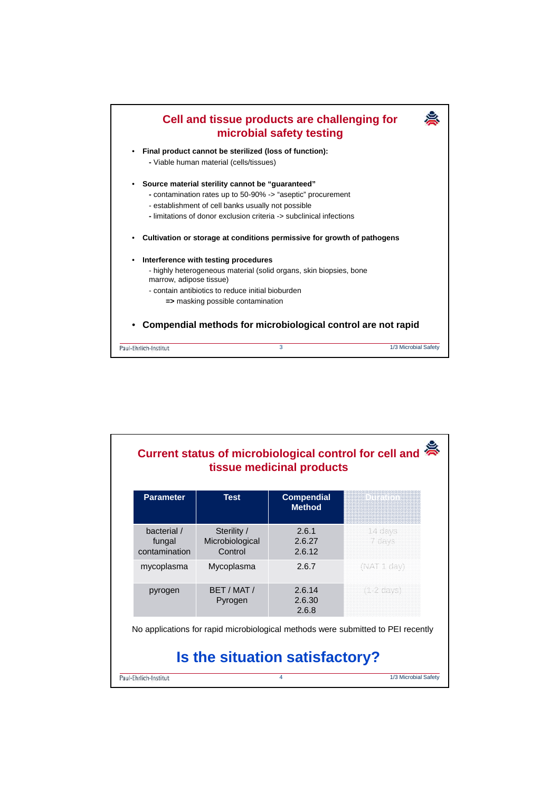

| <b>Parameter</b>                       | <b>Test</b>                               | <b>Compendial</b><br><b>Method</b>                                               | in than t            |
|----------------------------------------|-------------------------------------------|----------------------------------------------------------------------------------|----------------------|
| bacterial /<br>fungal<br>contamination | Sterility /<br>Microbiological<br>Control | 2.6.1<br>2.6.27<br>2.6.12                                                        | 14 days<br>7 days    |
| mycoplasma                             | Mycoplasma                                | 2.6.7                                                                            | (NAT 1 day)          |
| pyrogen                                | BFT / MAT /<br>Pyrogen                    | 2.6.14<br>2.6.30<br>2.6.8                                                        | $(1.2 \text{ days})$ |
|                                        |                                           | No applications for rapid microbiological methods were submitted to PEI recently |                      |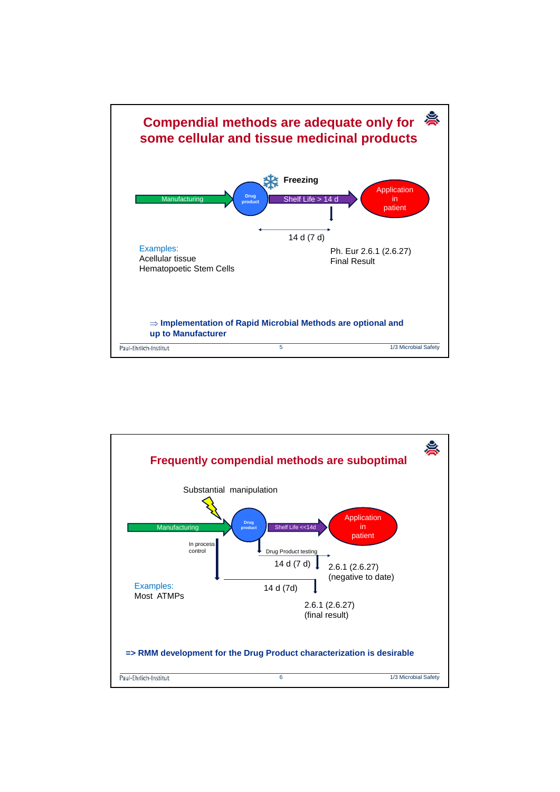

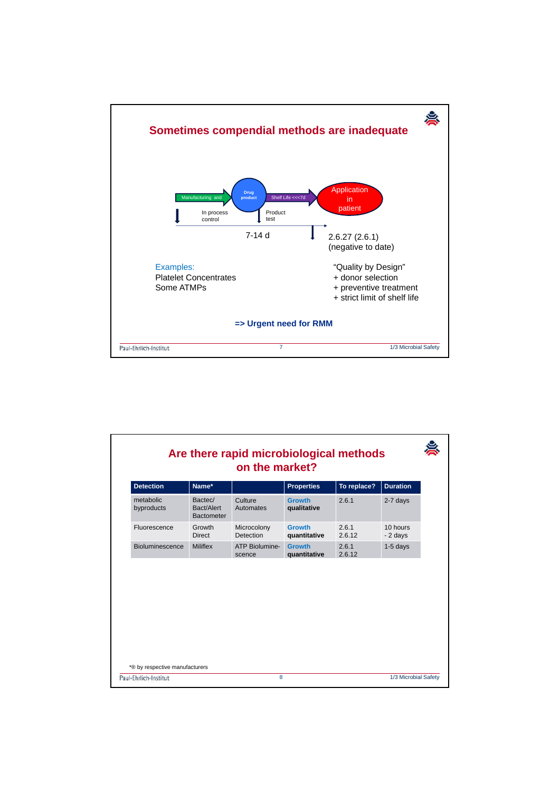

| <b>Detection</b>        | Name*                                      |                          | <b>Properties</b>             | To replace?     | <b>Duration</b>      |
|-------------------------|--------------------------------------------|--------------------------|-------------------------------|-----------------|----------------------|
| metabolic<br>byproducts | Bactec/<br>Bact/Alert<br><b>Bactometer</b> | Culture<br>Automates     | <b>Growth</b><br>qualitative  | 2.6.1           | 2-7 days             |
| Fluorescence            | Growth<br>Direct                           | Microcolony<br>Detection | <b>Growth</b><br>quantitative | 261<br>2.6.12   | 10 hours<br>- 2 days |
| Bioluminescence         | <b>Miliflex</b>                            | ATP Biolumine-<br>scence | <b>Growth</b><br>quantitative | 2.6.1<br>2.6.12 | $1-5$ days           |
|                         |                                            |                          |                               |                 |                      |
|                         |                                            |                          |                               |                 |                      |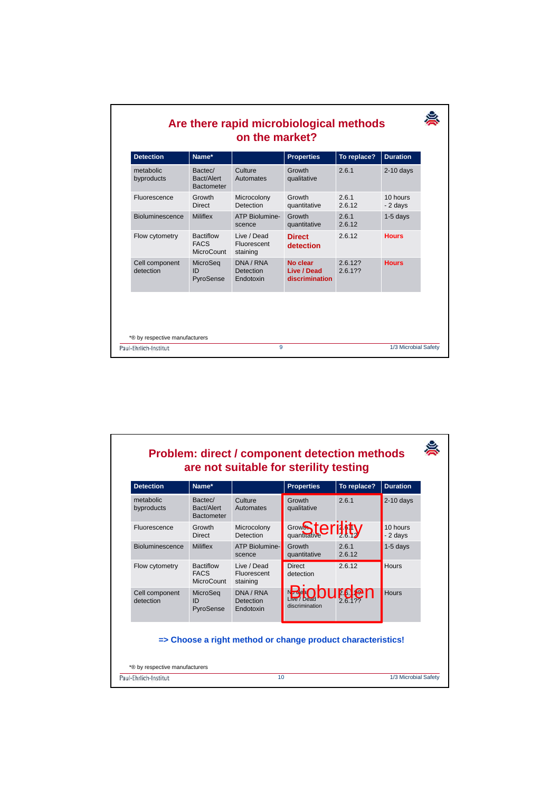| <b>Detection</b>            | Name*                                         |                                            | <b>Properties</b>                         | To replace?    | <b>Duration</b>      |
|-----------------------------|-----------------------------------------------|--------------------------------------------|-------------------------------------------|----------------|----------------------|
| metabolic<br>byproducts     | Bactec/<br>Bact/Alert<br><b>Bactometer</b>    | Culture<br>Automates                       | Growth<br>qualitative                     | 2.6.1          | $2-10$ days          |
| Fluorescence                | Growth<br><b>Direct</b>                       | Microcolony<br><b>Detection</b>            | Growth<br>quantitative                    | 261<br>2.6.12  | 10 hours<br>- 2 days |
| <b>Bioluminescence</b>      | <b>Miliflex</b>                               | ATP Biolumine-<br>scence                   | Growth<br>quantitative                    | 261<br>2.6.12  | $1-5$ days           |
| Flow cytometry              | <b>Bactiflow</b><br><b>FACS</b><br>MicroCount | Live / Dead<br>Fluorescent<br>staining     | <b>Direct</b><br>detection                | 2.6.12         | <b>Hours</b>         |
| Cell component<br>detection | MicroSeg<br>ID<br>PyroSense                   | DNA / RNA<br><b>Detection</b><br>Endotoxin | No clear<br>Live / Dead<br>discrimination | 26122<br>26122 | <b>Hours</b>         |
|                             |                                               |                                            |                                           |                |                      |

## 宴 **Problem: direct / component detection methods are not suitable for sterility testing Detection Aame<sup>\*</sup> <b>Properties** To replace? Duration 2.6.1 2-10 days Bactec/ **Culture Growth** metabolic Bact/Alert Automates qualitative byproducts Bactometer Grow**Sterinty** 10 hours Fluorescence Growth Microcolony **Growth** 161 Direct Detection  $-2$  days 2.6.12 2.6.1 Bioluminescence Miliflex ATP Biolumine-Growth 1-5 days quantitative 2.6.12 scence 2.6.12 Hours Flow cytometry Bactiflow Live / Dead **Direct** FACS Fluorescent detection **MicroCount** staining **Bioburden** Cell component MicroSeq DNA / RNA **Hours** 26.2 detection ID Detection 2.6.1?? PyroSense discrimination Endotoxin **=> Choose a right method or change product characteristics!** \*® by respective manufacturers Paul-Ehrlich-Institut 10 1/3 Microbial Safety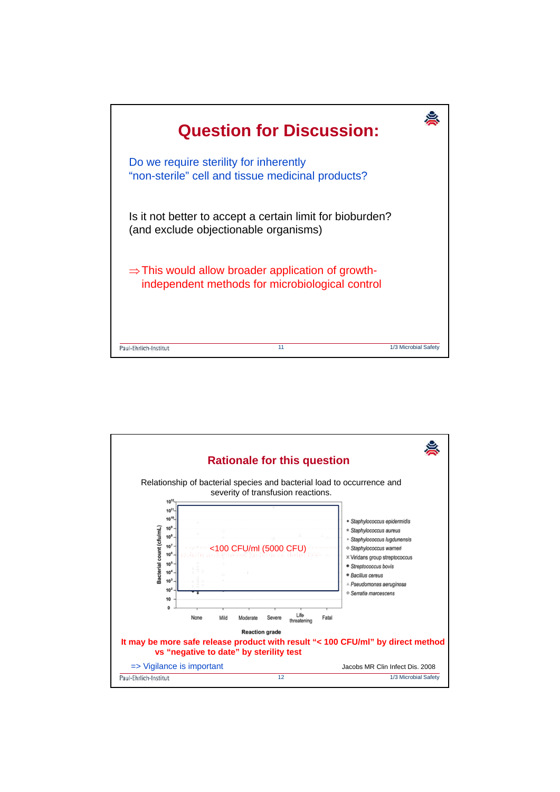

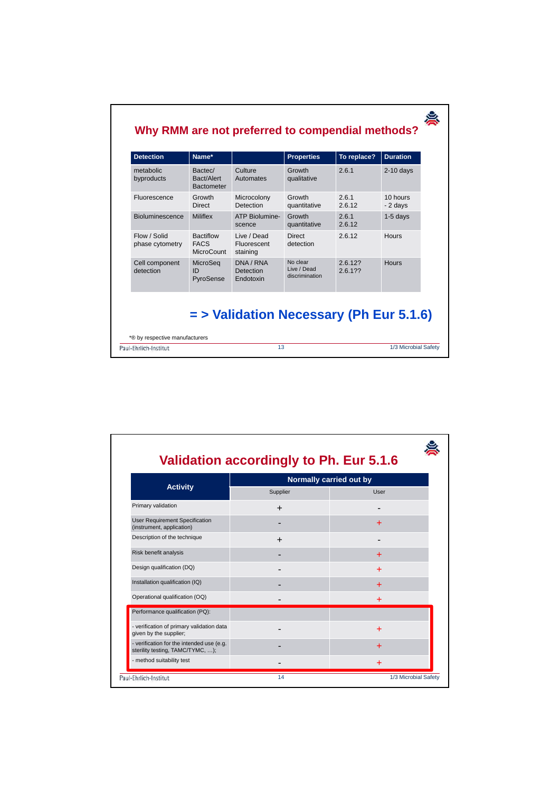| <b>Detection</b>                | Name*                                                |                                        | <b>Properties</b>                         | To replace?        | <b>Duration</b>      |
|---------------------------------|------------------------------------------------------|----------------------------------------|-------------------------------------------|--------------------|----------------------|
| metabolic<br>byproducts         | Bactec/<br>Bact/Alert<br><b>Bactometer</b>           | Culture<br>Automates                   | Growth<br>qualitative                     | 2.6.1              | $2-10$ days          |
| Fluorescence                    | Growth<br>Direct                                     | Microcolony<br>Detection               | Growth<br>quantitative                    | 261<br>2.6.12      | 10 hours<br>- 2 days |
| <b>Bioluminescence</b>          | <b>Miliflex</b>                                      | ATP Biolumine-<br>scence               | Growth<br>quantitative                    | 261<br>2.6.12      | $1-5$ days           |
| Flow / Solid<br>phase cytometry | <b>Bactiflow</b><br><b>FACS</b><br><b>MicroCount</b> | Live / Dead<br>Fluorescent<br>staining | <b>Direct</b><br>detection                | 2.6.12             | <b>Hours</b>         |
| Cell component<br>detection     | MicroSeq<br>ID<br>PyroSense                          | DNA / RNA<br>Detection<br>Endotoxin    | No clear<br>Live / Dead<br>discrimination | 2.6.12?<br>2.6.1?? | <b>Hours</b>         |

| <b>Activity</b>                                                               | Normally carried out by |           |  |
|-------------------------------------------------------------------------------|-------------------------|-----------|--|
|                                                                               | Supplier                | User      |  |
| Primary validation                                                            | $\div$                  |           |  |
| <b>User Requirement Specification</b><br>(instrument, application)            |                         | $\ddot{}$ |  |
| Description of the technique                                                  | $\ddot{}$               |           |  |
| Risk benefit analysis                                                         |                         | +         |  |
| Design qualification (DQ)                                                     |                         | $\ddot{}$ |  |
| Installation qualification (IQ)                                               |                         | 4         |  |
| Operational qualification (OQ)                                                |                         | $\ddot{}$ |  |
| Performance qualification (PQ):                                               |                         |           |  |
| - verification of primary validation data<br>given by the supplier;           |                         | $\ddot{}$ |  |
| - verification for the intended use (e.g.<br>sterility testing, TAMC/TYMC, ); |                         | $\ddot{}$ |  |
| - method suitability test                                                     |                         | $\div$    |  |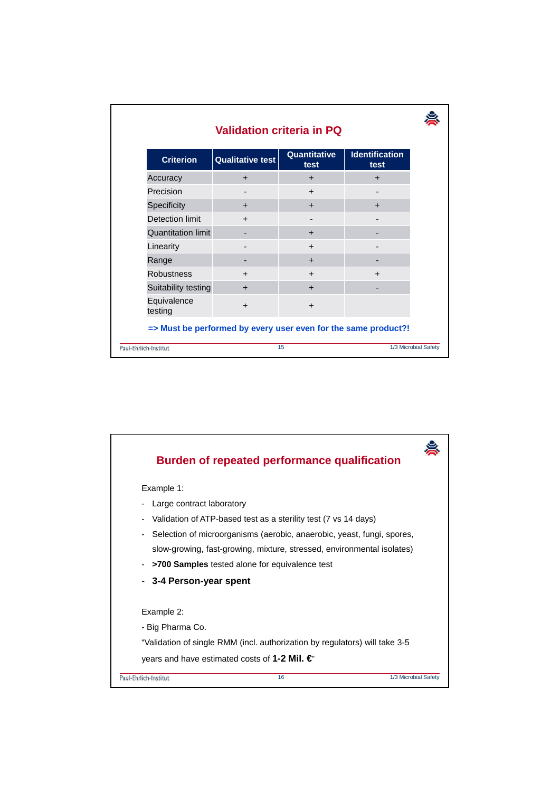| <b>Criterion</b>          | <b>Qualitative test</b> | Quantitative<br>test | <b>Identification</b><br>test |
|---------------------------|-------------------------|----------------------|-------------------------------|
| Accuracy                  | $\ddot{}$               | $\ddot{}$            | $\ddot{}$                     |
| Precision                 |                         | $\ddot{}$            |                               |
| Specificity               | $\ddot{}$               | $+$                  | $\ddot{}$                     |
| Detection limit           | $\ddot{}$               |                      | ۰                             |
| <b>Quantitation limit</b> |                         | $\pm$                |                               |
| Linearity                 |                         | $\ddot{}$            |                               |
| Range                     |                         | $\ddot{}$            |                               |
| <b>Robustness</b>         | $\div$                  | $\ddot{}$            | $\ddot{}$                     |
| Suitability testing       | $\pm$                   | $\ddot{}$            |                               |
| Equivalence<br>testing    | $\ddot{}$               | $\ddot{}$            |                               |

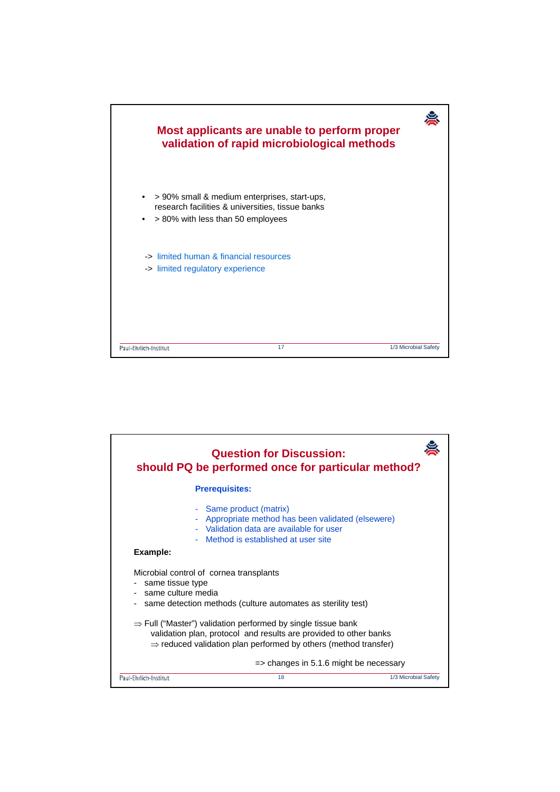

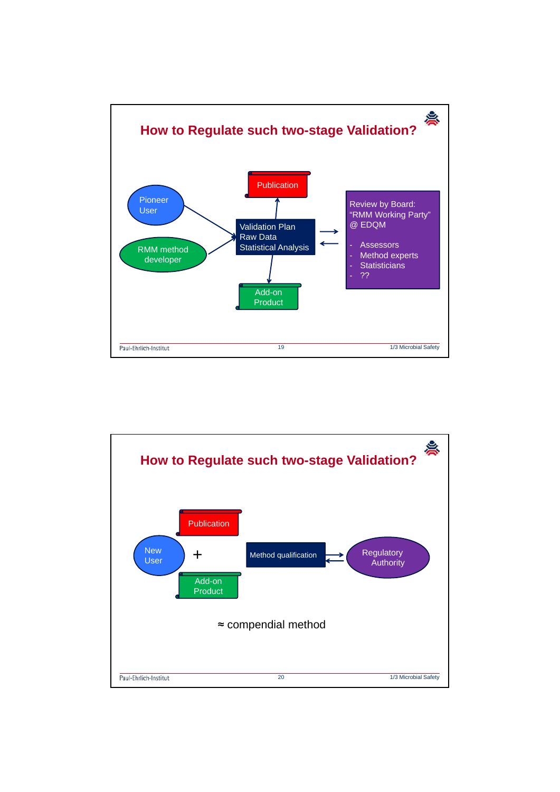